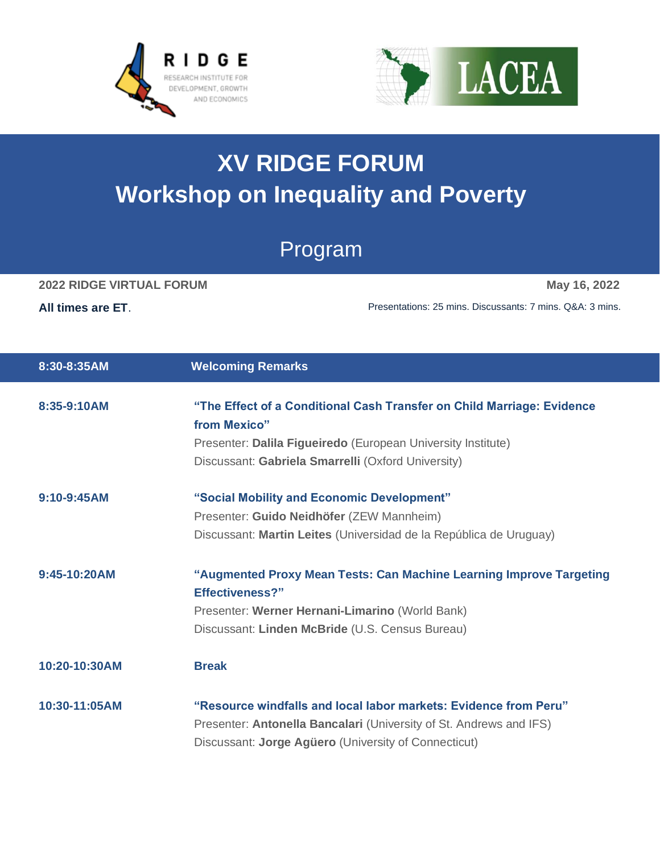



## **XV RIDGE FORUM Workshop on Inequality and Poverty**

## Program

## **2022 RIDGE VIRTUAL FORUM May 16, 2022**

**All times are ET**. Presentations: 25 mins. Discussants: 7 mins. Q&A: 3 mins.

| 8:30-8:35AM   | <b>Welcoming Remarks</b>                                                                                                                                                                       |
|---------------|------------------------------------------------------------------------------------------------------------------------------------------------------------------------------------------------|
| 8:35-9:10AM   | "The Effect of a Conditional Cash Transfer on Child Marriage: Evidence<br>from Mexico"                                                                                                         |
|               | Presenter: Dalila Figueiredo (European University Institute)                                                                                                                                   |
|               | Discussant: Gabriela Smarrelli (Oxford University)                                                                                                                                             |
| $9:10-9:45AM$ | "Social Mobility and Economic Development"                                                                                                                                                     |
|               | Presenter: Guido Neidhöfer (ZEW Mannheim)                                                                                                                                                      |
|               | Discussant: Martin Leites (Universidad de la República de Uruguay)                                                                                                                             |
| 9:45-10:20AM  | "Augmented Proxy Mean Tests: Can Machine Learning Improve Targeting<br><b>Effectiveness?"</b>                                                                                                  |
|               | Presenter: Werner Hernani-Limarino (World Bank)                                                                                                                                                |
|               | Discussant: Linden McBride (U.S. Census Bureau)                                                                                                                                                |
| 10:20-10:30AM | <b>Break</b>                                                                                                                                                                                   |
| 10:30-11:05AM | "Resource windfalls and local labor markets: Evidence from Peru"<br>Presenter: Antonella Bancalari (University of St. Andrews and IFS)<br>Discussant: Jorge Agüero (University of Connecticut) |